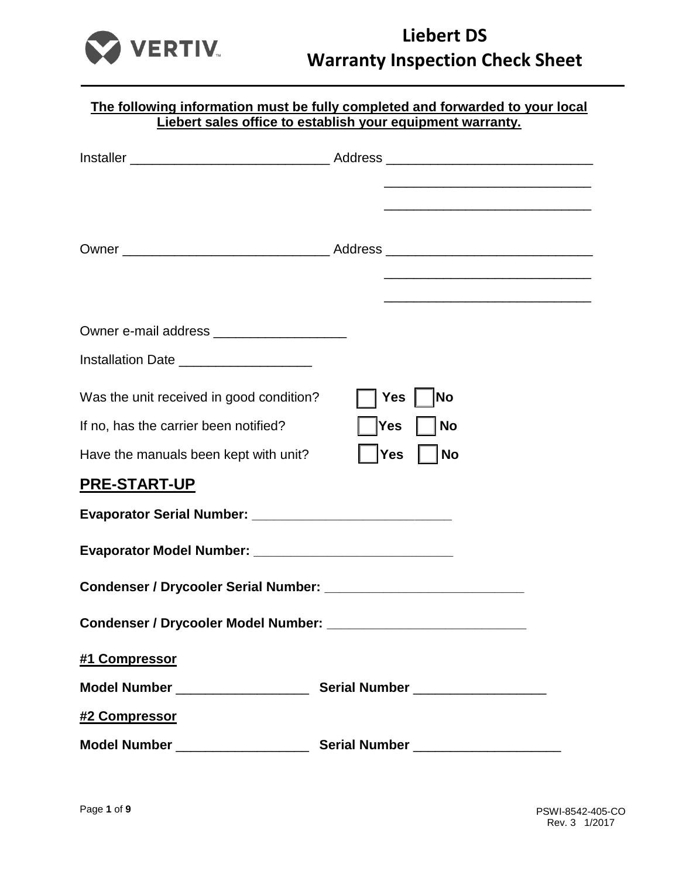

|                                             | The following information must be fully completed and forwarded to your local<br>Liebert sales office to establish your equipment warranty.                                                                                   |
|---------------------------------------------|-------------------------------------------------------------------------------------------------------------------------------------------------------------------------------------------------------------------------------|
|                                             |                                                                                                                                                                                                                               |
|                                             |                                                                                                                                                                                                                               |
|                                             | the control of the control of the control of the control of the control of the control of the control of the control of the control of the control of the control of the control of the control of the control of the control |
|                                             |                                                                                                                                                                                                                               |
|                                             | the control of the control of the control of the control of the control of the control of                                                                                                                                     |
|                                             |                                                                                                                                                                                                                               |
| Installation Date _____________________     |                                                                                                                                                                                                                               |
| Was the unit received in good condition?    | <b>No</b><br>Yes                                                                                                                                                                                                              |
| If no, has the carrier been notified?       | Yes<br><b>No</b>                                                                                                                                                                                                              |
| Have the manuals been kept with unit?       | <b>Yes</b><br><b>No</b>                                                                                                                                                                                                       |
| <b>PRE-START-UP</b>                         |                                                                                                                                                                                                                               |
|                                             |                                                                                                                                                                                                                               |
|                                             |                                                                                                                                                                                                                               |
| <b>Condenser / Drycooler Serial Number:</b> |                                                                                                                                                                                                                               |
|                                             |                                                                                                                                                                                                                               |
| #1 Compressor                               |                                                                                                                                                                                                                               |
|                                             |                                                                                                                                                                                                                               |
| #2 Compressor                               |                                                                                                                                                                                                                               |
|                                             |                                                                                                                                                                                                                               |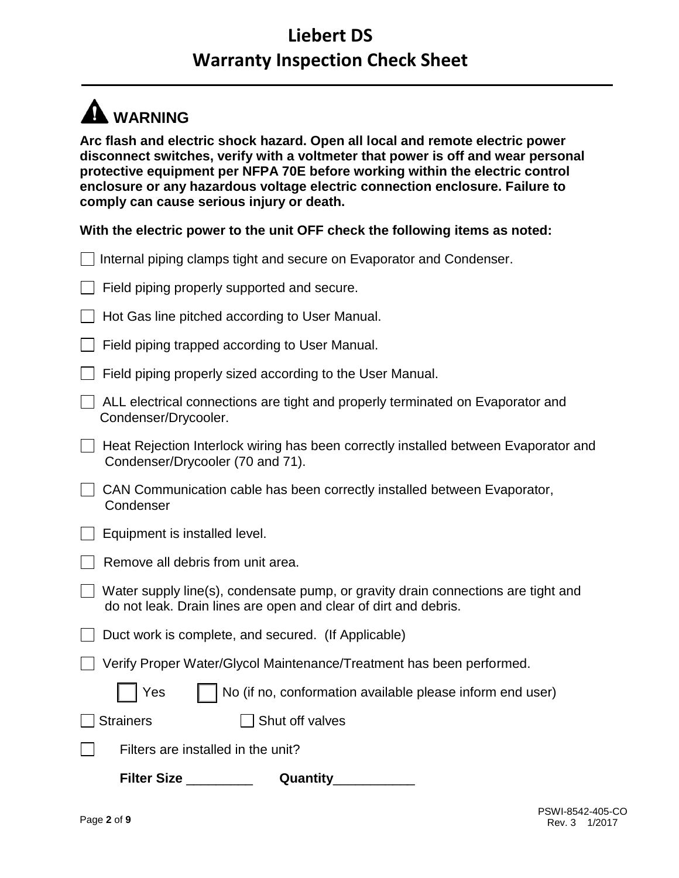# **WARNING**

**Arc flash and electric shock hazard. Open all local and remote electric power disconnect switches, verify with a voltmeter that power is off and wear personal protective equipment per NFPA 70E before working within the electric control enclosure or any hazardous voltage electric connection enclosure. Failure to comply can cause serious injury or death.** 

**With the electric power to the unit OFF check the following items as noted:**

| Internal piping clamps tight and secure on Evaporator and Condenser.                                                                                 |
|------------------------------------------------------------------------------------------------------------------------------------------------------|
| Field piping properly supported and secure.                                                                                                          |
| Hot Gas line pitched according to User Manual.                                                                                                       |
| Field piping trapped according to User Manual.                                                                                                       |
| Field piping properly sized according to the User Manual.                                                                                            |
| ALL electrical connections are tight and properly terminated on Evaporator and<br>Condenser/Drycooler.                                               |
| Heat Rejection Interlock wiring has been correctly installed between Evaporator and<br>Condenser/Drycooler (70 and 71).                              |
| CAN Communication cable has been correctly installed between Evaporator,<br>Condenser                                                                |
| Equipment is installed level.                                                                                                                        |
| Remove all debris from unit area.                                                                                                                    |
| Water supply line(s), condensate pump, or gravity drain connections are tight and<br>do not leak. Drain lines are open and clear of dirt and debris. |
| Duct work is complete, and secured. (If Applicable)                                                                                                  |
| Verify Proper Water/Glycol Maintenance/Treatment has been performed.                                                                                 |
| Yes<br>No (if no, conformation available please inform end user)                                                                                     |
| Shut off valves<br><b>Strainers</b>                                                                                                                  |
| Filters are installed in the unit?                                                                                                                   |
| <b>Filter Size</b><br>Quantity                                                                                                                       |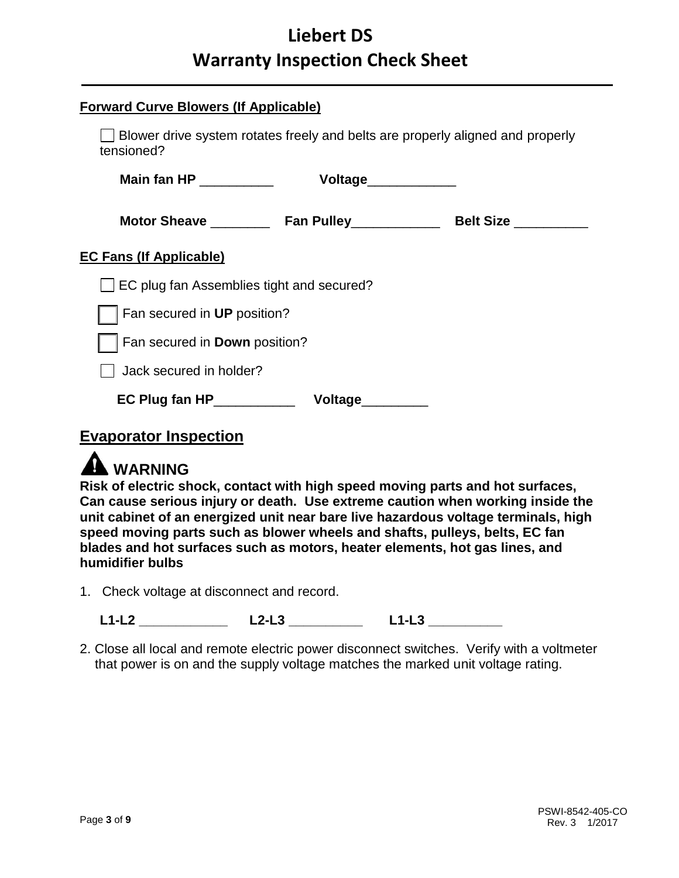| <b>Forward Curve Blowers (If Applicable)</b>                                                 |                     |  |  |
|----------------------------------------------------------------------------------------------|---------------------|--|--|
| Blower drive system rotates freely and belts are properly aligned and properly<br>tensioned? |                     |  |  |
| Main fan HP ____________                                                                     | Voltage____________ |  |  |
|                                                                                              |                     |  |  |
| <b>EC Fans (If Applicable)</b>                                                               |                     |  |  |
| EC plug fan Assemblies tight and secured?                                                    |                     |  |  |
| Fan secured in UP position?                                                                  |                     |  |  |
| Fan secured in Down position?                                                                |                     |  |  |
| Jack secured in holder?                                                                      |                     |  |  |
| $EC$ Plug fan HP $\qquad \qquad$                                                             | Voltage_______      |  |  |

### **Evaporator Inspection**



**Risk of electric shock, contact with high speed moving parts and hot surfaces, Can cause serious injury or death. Use extreme caution when working inside the unit cabinet of an energized unit near bare live hazardous voltage terminals, high speed moving parts such as blower wheels and shafts, pulleys, belts, EC fan blades and hot surfaces such as motors, heater elements, hot gas lines, and humidifier bulbs**

1. Check voltage at disconnect and record.

**L1-L2 \_\_\_\_\_\_\_\_\_\_\_\_ L2-L3 \_\_\_\_\_\_\_\_\_\_ L1-L3 \_\_\_\_\_\_\_\_\_\_** 

2. Close all local and remote electric power disconnect switches. Verify with a voltmeter that power is on and the supply voltage matches the marked unit voltage rating.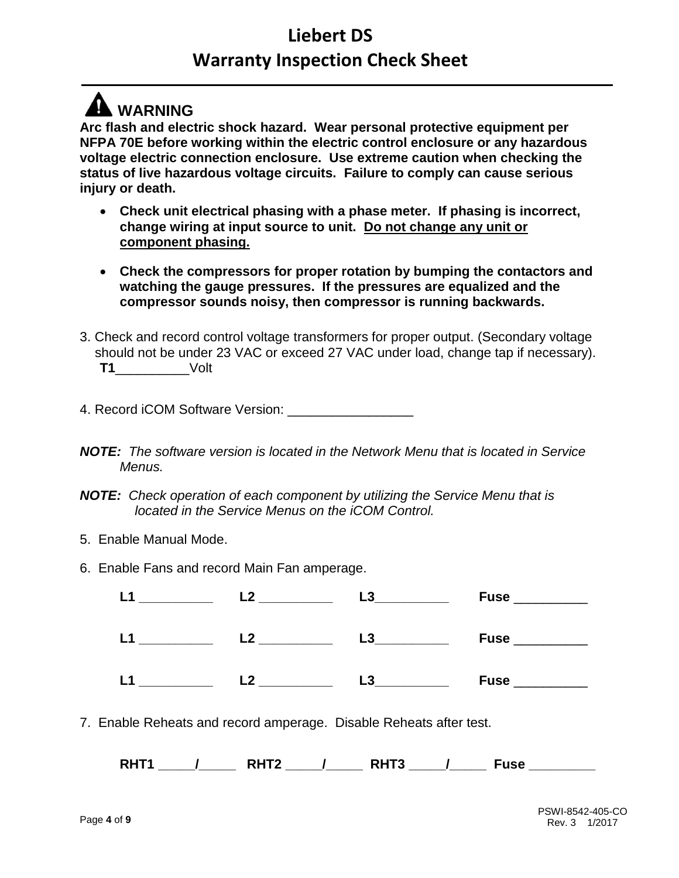## **A** WARNING

**Arc flash and electric shock hazard. Wear personal protective equipment per NFPA 70E before working within the electric control enclosure or any hazardous voltage electric connection enclosure. Use extreme caution when checking the status of live hazardous voltage circuits. Failure to comply can cause serious injury or death.**

- **Check unit electrical phasing with a phase meter. If phasing is incorrect, change wiring at input source to unit. Do not change any unit or component phasing.**
- **Check the compressors for proper rotation by bumping the contactors and watching the gauge pressures. If the pressures are equalized and the compressor sounds noisy, then compressor is running backwards.**
- 3. Check and record control voltage transformers for proper output. (Secondary voltage should not be under 23 VAC or exceed 27 VAC under load, change tap if necessary). **T1**\_\_\_\_\_\_\_\_\_\_Volt
- 4. Record iCOM Software Version:
- *NOTE: The software version is located in the Network Menu that is located in Service Menus.*
- *NOTE: Check operation of each component by utilizing the Service Menu that is located in the Service Menus on the iCOM Control.*
- 5. Enable Manual Mode.
- 6. Enable Fans and record Main Fan amperage.

| I 1 | - 2 | L3             | <b>Fuse</b> |
|-----|-----|----------------|-------------|
| L1  | ၇   | L <sub>3</sub> | <b>Fuse</b> |
| L1  | ່າ  | L3             | <b>Fuse</b> |

7. Enable Reheats and record amperage. Disable Reheats after test.

**RHT1 \_\_\_\_\_/\_\_\_\_\_ RHT2 \_\_\_\_\_/\_\_\_\_\_ RHT3 \_\_\_\_\_/\_\_\_\_\_ Fuse \_\_\_\_\_\_\_\_\_**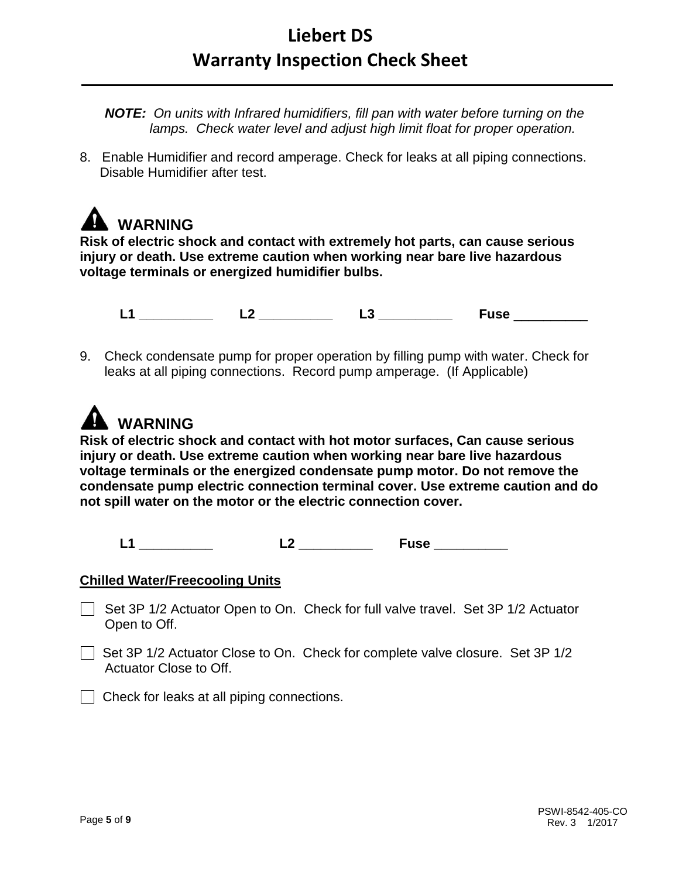*NOTE: On units with Infrared humidifiers, fill pan with water before turning on the lamps. Check water level and adjust high limit float for proper operation.*

8. Enable Humidifier and record amperage. Check for leaks at all piping connections. Disable Humidifier after test.

## **WARNING**

**Risk of electric shock and contact with extremely hot parts, can cause serious injury or death. Use extreme caution when working near bare live hazardous voltage terminals or energized humidifier bulbs.**

**L1 \_\_\_\_\_\_\_\_\_\_ L2 \_\_\_\_\_\_\_\_\_\_ L3 \_\_\_\_\_\_\_\_\_\_ Fuse** \_\_\_\_\_\_\_\_\_\_

9. Check condensate pump for proper operation by filling pump with water. Check for leaks at all piping connections. Record pump amperage. (If Applicable)

# **A** WARNING

**Risk of electric shock and contact with hot motor surfaces, Can cause serious injury or death. Use extreme caution when working near bare live hazardous voltage terminals or the energized condensate pump motor. Do not remove the condensate pump electric connection terminal cover. Use extreme caution and do not spill water on the motor or the electric connection cover.**

**L1 \_\_\_\_\_\_\_\_\_\_ L2 \_\_\_\_\_\_\_\_\_\_ Fuse \_\_\_\_\_\_\_\_\_\_**

#### **Chilled Water/Freecooling Units**

- Set 3P 1/2 Actuator Open to On. Check for full valve travel. Set 3P 1/2 Actuator Open to Off.
- $\Box$  Set 3P 1/2 Actuator Close to On. Check for complete valve closure. Set 3P 1/2 Actuator Close to Off.
- Check for leaks at all piping connections.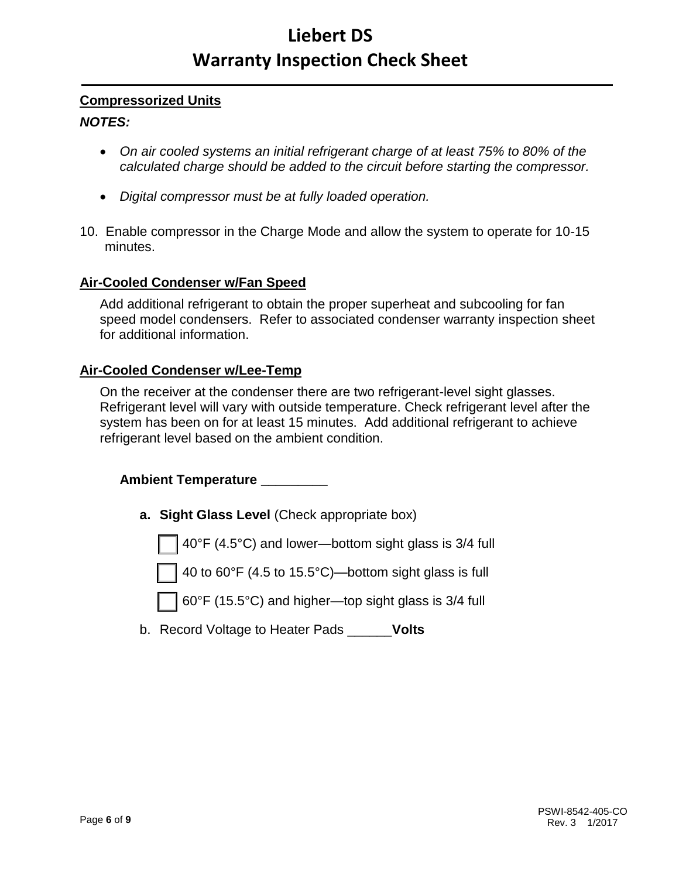#### **Compressorized Units**

#### *NOTES:*

- *On air cooled systems an initial refrigerant charge of at least 75% to 80% of the calculated charge should be added to the circuit before starting the compressor.*
- *Digital compressor must be at fully loaded operation.*
- 10. Enable compressor in the Charge Mode and allow the system to operate for 10-15 minutes.

#### **Air-Cooled Condenser w/Fan Speed**

Add additional refrigerant to obtain the proper superheat and subcooling for fan speed model condensers. Refer to associated condenser warranty inspection sheet for additional information.

#### **Air-Cooled Condenser w/Lee-Temp**

On the receiver at the condenser there are two refrigerant-level sight glasses. Refrigerant level will vary with outside temperature. Check refrigerant level after the system has been on for at least 15 minutes. Add additional refrigerant to achieve refrigerant level based on the ambient condition.

#### **Ambient Temperature \_\_\_\_\_\_\_\_\_**

**a. Sight Glass Level** (Check appropriate box)

40°F (4.5°C) and lower—bottom sight glass is 3/4 full

40 to 60°F (4.5 to 15.5°C)—bottom sight glass is full

60°F (15.5°C) and higher—top sight glass is 3/4 full

b. Record Voltage to Heater Pads \_\_\_\_\_\_**Volts**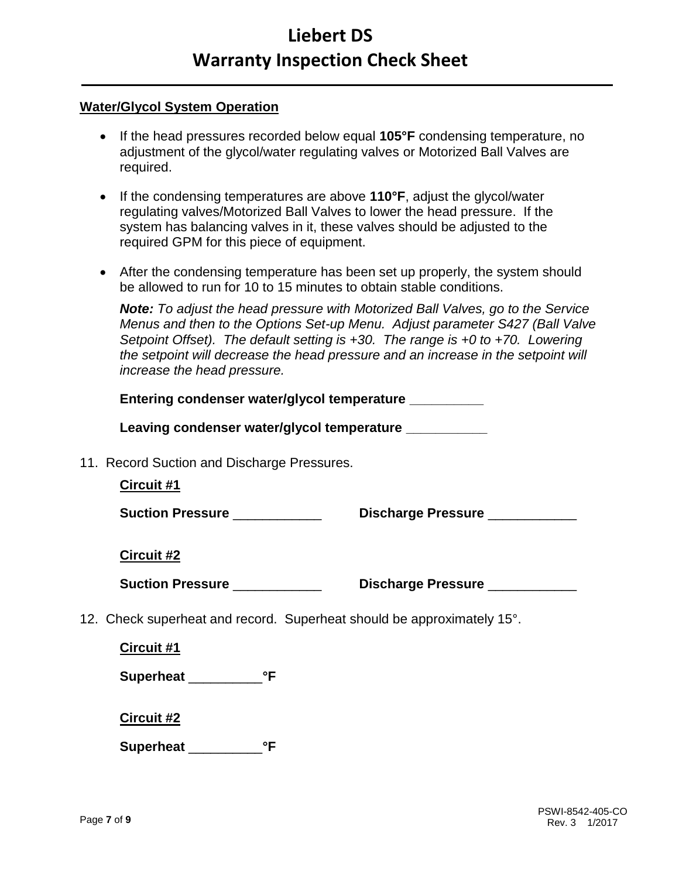#### **Water/Glycol System Operation**

- If the head pressures recorded below equal **105°F** condensing temperature, no adjustment of the glycol/water regulating valves or Motorized Ball Valves are required.
- If the condensing temperatures are above **110°F**, adjust the glycol/water regulating valves/Motorized Ball Valves to lower the head pressure. If the system has balancing valves in it, these valves should be adjusted to the required GPM for this piece of equipment.
- After the condensing temperature has been set up properly, the system should be allowed to run for 10 to 15 minutes to obtain stable conditions.

*Note: To adjust the head pressure with Motorized Ball Valves, go to the Service Menus and then to the Options Set-up Menu. Adjust parameter S427 (Ball Valve Setpoint Offset). The default setting is +30. The range is +0 to +70. Lowering the setpoint will decrease the head pressure and an increase in the setpoint will increase the head pressure.*

| Entering condenser water/glycol temperature __________                 |  |  |  |
|------------------------------------------------------------------------|--|--|--|
| Leaving condenser water/glycol temperature __________                  |  |  |  |
| 11. Record Suction and Discharge Pressures.<br>Circuit #1              |  |  |  |
| <b>Suction Pressure ____________</b><br>Discharge Pressure ___________ |  |  |  |
| <b>Circuit #2</b>                                                      |  |  |  |
| Suction Pressure _____________<br>Discharge Pressure ___________       |  |  |  |
| 12. Check superheat and record. Superheat should be approximately 15°. |  |  |  |
| Circuit #1                                                             |  |  |  |
| Superheat <sup>°F</sup>                                                |  |  |  |
| <b>Circuit #2</b>                                                      |  |  |  |

**Superheat** \_\_\_\_\_\_\_\_\_\_**°F**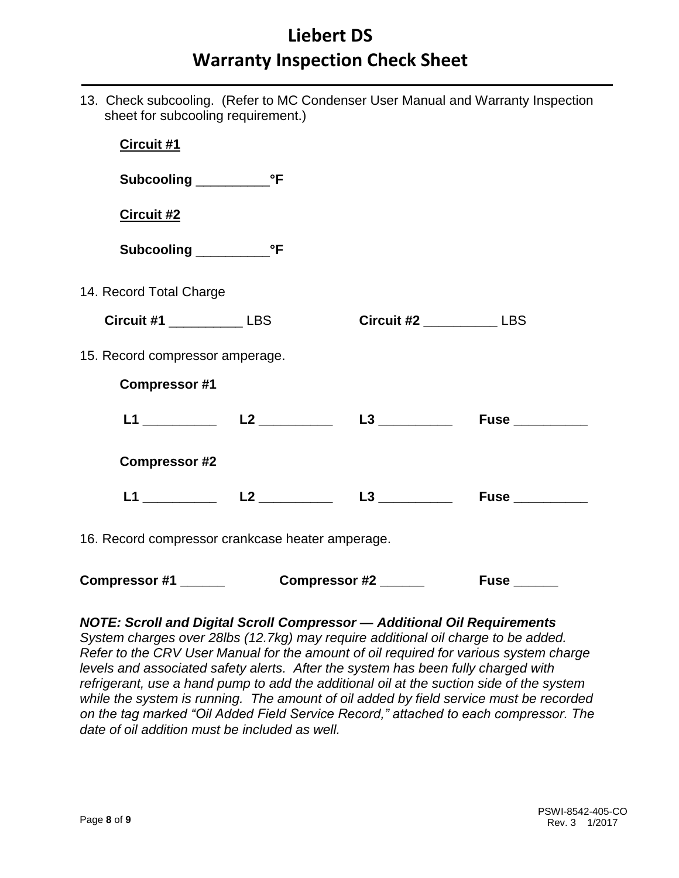13. Check subcooling. (Refer to MC Condenser User Manual and Warranty Inspection sheet for subcooling requirement.)

| Circuit #1                                       |  |                                |                           |
|--------------------------------------------------|--|--------------------------------|---------------------------|
|                                                  |  |                                |                           |
| Circuit #2                                       |  |                                |                           |
|                                                  |  |                                |                           |
| 14. Record Total Charge                          |  |                                |                           |
| Circuit #1 _______________ LBS                   |  | Circuit #2 _______________ LBS |                           |
| 15. Record compressor amperage.                  |  |                                |                           |
| <b>Compressor #1</b>                             |  |                                |                           |
|                                                  |  |                                |                           |
| <b>Compressor #2</b>                             |  |                                |                           |
|                                                  |  |                                |                           |
| 16. Record compressor crankcase heater amperage. |  |                                |                           |
| Compressor #1                                    |  | Compressor #2 _____            | $Fuse$ <sub>_______</sub> |

#### *NOTE: Scroll and Digital Scroll Compressor — Additional Oil Requirements*

*System charges over 28lbs (12.7kg) may require additional oil charge to be added. Refer to the CRV User Manual for the amount of oil required for various system charge levels and associated safety alerts. After the system has been fully charged with refrigerant, use a hand pump to add the additional oil at the suction side of the system while the system is running. The amount of oil added by field service must be recorded on the tag marked "Oil Added Field Service Record," attached to each compressor. The date of oil addition must be included as well.*